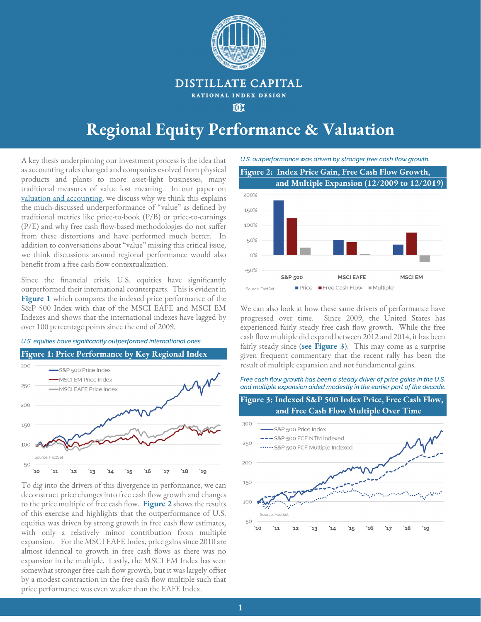

### DISTILLATE CAPITAL RATIONAL INDEX DESIGN

**TOE** 

# **Regional Equity Performance & Valuation**

A key thesis underpinning our investment process is the idea that as accounting rules changed and companies evolved from physical products and plants to more asset-light businesses, many traditional measures of value lost meaning. In our paper on valuation and accounting, we discuss why we think this explains the much-discussed underperformance of "value" as defined by traditional metrics like price-to-book (P/B) or price-to-earnings (P/E) and why free cash flow-based methodologies do not suffer from these distortions and have performed much better. In addition to conversations about "value" missing this critical issue, we think discussions around regional performance would also benefit from a free cash flow contextualization.

Since the financial crisis, U.S. equities have significantly outperformed their international counterparts. This is evident in **Figure 1** which compares the indexed price performance of the S&P 500 Index with that of the MSCI EAFE and MSCI EM Indexes and shows that the international indexes have lagged by over 100 percentage points since the end of 2009.

*U.S. equities have significantly outperformed international ones.* 



To dig into the drivers of this divergence in performance, we can deconstruct price changes into free cash flow growth and changes to the price multiple of free cash flow. **Figure 2** shows the results of this exercise and highlights that the outperformance of U.S. equities was driven by strong growth in free cash flow estimates, with only a relatively minor contribution from multiple expansion. For the MSCI EAFE Index, price gains since 2010 are almost identical to growth in free cash flows as there was no expansion in the multiple. Lastly, the MSCI EM Index has seen somewhat stronger free cash flow growth, but it was largely offset by a modest contraction in the free cash flow multiple such that price performance was even weaker than the EAFE Index.



We can also look at how these same drivers of performance have progressed over time. Since 2009, the United States has experienced fairly steady free cash flow growth. While the free cash flow multiple did expand between 2012 and 2014, it has been fairly steady since (**see Figure 3**). This may come as a surprise given frequent commentary that the recent rally has been the result of multiple expansion and not fundamental gains.

*Free cash flow growth has been a steady driver of price gains in the U.S. and multiple expansion aided modestly in the earlier part of the decade.* 



 $16$ 

 $17$ 

 $15$ 

 $18$ 

 $'19$ 

50

Source: FactSet

'12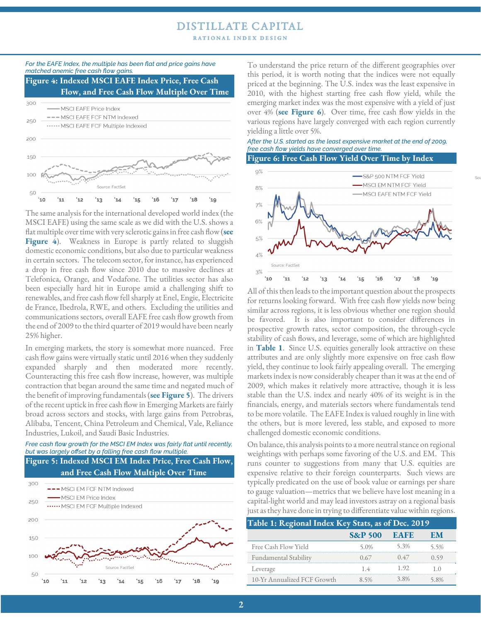# **DISTILLATE CAPITAL**

RATIONAL INDEX DESIGN



i.

The same analysis for the international developed world index (the MSCI EAFE) using the same scale as we did with the U.S. shows a flat multiple over time with very sclerotic gains in free cash flow (**see**  Figure 4). Weakness in Europe is partly related to sluggish domestic economic conditions, but also due to particular weakness in certain sectors. The telecom sector, for instance, has experienced a drop in free cash flow since 2010 due to massive declines at Telefonica, Orange, and Vodafone. The utilities sector has also been especially hard hit in Europe amid a challenging shift to renewables, and free cash flow fell sharply at Enel, Engie, Electricite de France, Ibedrola, RWE, and others. Excluding the utilities and communications sectors, overall EAFE free cash flow growth from the end of 2009 to the third quarter of 2019 would have been nearly 25% higher.

In emerging markets, the story is somewhat more nuanced. Free cash flow gains were virtually static until 2016 when they suddenly expanded sharply and then moderated more recently. Counteracting this free cash flow increase, however, was multiple contraction that began around the same time and negated much of the benefit of improving fundamentals (**see Figure 5**). The drivers of the recent uptick in free cash flow in Emerging Markets are fairly broad across sectors and stocks, with large gains from Petrobras, Alibaba, Tencent, China Petroleum and Chemical, Vale, Reliance Industries, Lukoil, and Saudi Basic Industries.

#### *Free cash flow growth for the MSCI EM Index was fairly flat until recently, but was largely offset by a falling free cash flow multiple.*

**Figure 5: Indexed MSCI EM Index Price, Free Cash Flow, and Free Cash Flow Multiple Over Time** 



To understand the price return of the different geographies over this period, it is worth noting that the indices were not equally priced at the beginning. The U.S. index was the least expensive in 2010, with the highest starting free cash flow yield, while the emerging market index was the most expensive with a yield of just over 4% (**see Figure 6**). Over time, free cash flow yields in the various regions have largely converged with each region currently yielding a little over 5%.

*After the U.S. started as the least expensive market at the end of 2009, free cash flow yields have converged over time.* 



Sou

All of this then leads to the important question about the prospects for returns looking forward. With free cash flow yields now being similar across regions, it is less obvious whether one region should be favored. It is also important to consider differences in prospective growth rates, sector composition, the through-cycle stability of cash flows, and leverage, some of which are highlighted in **Table 1**. Since U.S. equities generally look attractive on these attributes and are only slightly more expensive on free cash flow yield, they continue to look fairly appealing overall. The emerging markets index is now considerably cheaper than it was at the end of 2009, which makes it relatively more attractive, though it is less stable than the U.S. index and nearly 40% of its weight is in the financials, energy, and materials sectors where fundamentals tend to be more volatile. The EAFE Index is valued roughly in line with the others, but is more levered, less stable, and exposed to more challenged domestic economic conditions.

On balance, this analysis points to a more neutral stance on regional weightings with perhaps some favoring of the U.S. and EM. This runs counter to suggestions from many that U.S. equities are expensive relative to their foreign counterparts. Such views are typically predicated on the use of book value or earnings per share to gauge valuation—metrics that we believe have lost meaning in a capital-light world and may lead investors astray on a regional basis just as they have done in trying to differentiate value within regions.

| Table 1: Regional Index Key Stats, as of Dec. 2019 |                         |  |  |
|----------------------------------------------------|-------------------------|--|--|
|                                                    | <b>S&amp;P 500 EAFE</b> |  |  |
| Free Cash Flow Yield                               |                         |  |  |
| Fundamental Stability                              |                         |  |  |
| Leverage                                           |                         |  |  |
| 10-Yr Annualized FCF Growth                        |                         |  |  |